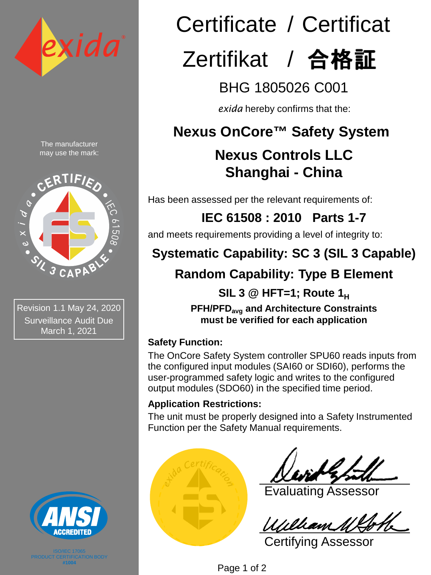

The manufacturer may use the mark:



Revision 1.1 May 24, 2020 Surveillance Audit Due March 1, 2021



**#1004**

# Certificate / Certificat

## Zertifikat / 合格証

BHG 1805026 C001

*exida* hereby confirms that the:

## **Nexus OnCore™ Safety System**

## **Nexus Controls LLC Shanghai - China**

Has been assessed per the relevant requirements of:

**IEC 61508 : 2010 Parts 1-7** 

and meets requirements providing a level of integrity to:

## **Systematic Capability: SC 3 (SIL 3 Capable)**

## **Random Capability: Type B Element**

**SIL 3 @ HFT=1; Route 1H PFH/PFDavg and Architecture Constraints must be verified for each application**

#### **Safety Function:**

The OnCore Safety System controller SPU60 reads inputs from the configured input modules (SAI60 or SDI60), performs the user-programmed safety logic and writes to the configured output modules (SDO60) in the specified time period.

#### **Application Restrictions:**

The unit must be properly designed into a Safety Instrumented Function per the Safety Manual requirements.



Evaluating Assessor

Certifying Assessor

Page 1 of 2